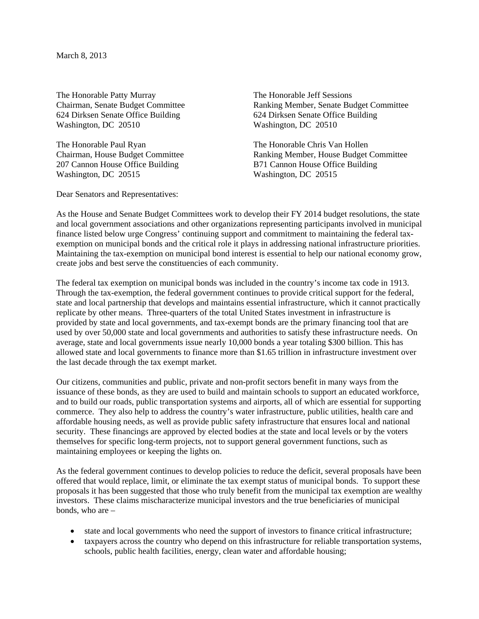March 8, 2013

The Honorable Patty Murray<br>
Chairman, Senate Budget Committee<br>
Ranking Member, Senate Bu 624 Dirksen Senate Office Building 624 Dirksen Senate Office Building Washington, DC 20510 Washington, DC 20510

The Honorable Paul Ryan The Honorable Chris Van Hollen 207 Cannon House Office Building B71 Cannon House Office Building Washington, DC 20515 Washington, DC 20515

Dear Senators and Representatives:

Ranking Member, Senate Budget Committee

Chairman, House Budget Committee Ranking Member, House Budget Committee

As the House and Senate Budget Committees work to develop their FY 2014 budget resolutions, the state and local government associations and other organizations representing participants involved in municipal finance listed below urge Congress' continuing support and commitment to maintaining the federal taxexemption on municipal bonds and the critical role it plays in addressing national infrastructure priorities. Maintaining the tax-exemption on municipal bond interest is essential to help our national economy grow, create jobs and best serve the constituencies of each community.

The federal tax exemption on municipal bonds was included in the country's income tax code in 1913. Through the tax-exemption, the federal government continues to provide critical support for the federal, state and local partnership that develops and maintains essential infrastructure, which it cannot practically replicate by other means. Three-quarters of the total United States investment in infrastructure is provided by state and local governments, and tax-exempt bonds are the primary financing tool that are used by over 50,000 state and local governments and authorities to satisfy these infrastructure needs. On average, state and local governments issue nearly 10,000 bonds a year totaling \$300 billion. This has allowed state and local governments to finance more than \$1.65 trillion in infrastructure investment over the last decade through the tax exempt market.

Our citizens, communities and public, private and non-profit sectors benefit in many ways from the issuance of these bonds, as they are used to build and maintain schools to support an educated workforce, and to build our roads, public transportation systems and airports, all of which are essential for supporting commerce. They also help to address the country's water infrastructure, public utilities, health care and affordable housing needs, as well as provide public safety infrastructure that ensures local and national security. These financings are approved by elected bodies at the state and local levels or by the voters themselves for specific long-term projects, not to support general government functions, such as maintaining employees or keeping the lights on.

As the federal government continues to develop policies to reduce the deficit, several proposals have been offered that would replace, limit, or eliminate the tax exempt status of municipal bonds. To support these proposals it has been suggested that those who truly benefit from the municipal tax exemption are wealthy investors. These claims mischaracterize municipal investors and the true beneficiaries of municipal bonds, who are –

- state and local governments who need the support of investors to finance critical infrastructure;
- taxpayers across the country who depend on this infrastructure for reliable transportation systems. schools, public health facilities, energy, clean water and affordable housing;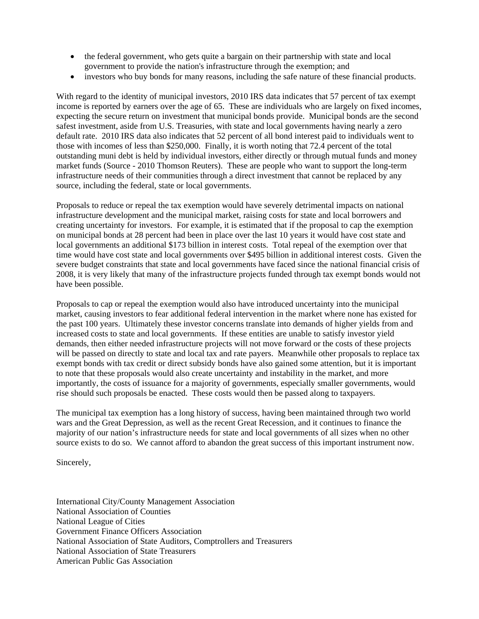- the federal government, who gets quite a bargain on their partnership with state and local government to provide the nation's infrastructure through the exemption; and
- investors who buy bonds for many reasons, including the safe nature of these financial products.

With regard to the identity of municipal investors, 2010 IRS data indicates that 57 percent of tax exempt income is reported by earners over the age of 65. These are individuals who are largely on fixed incomes, expecting the secure return on investment that municipal bonds provide. Municipal bonds are the second safest investment, aside from U.S. Treasuries, with state and local governments having nearly a zero default rate. 2010 IRS data also indicates that 52 percent of all bond interest paid to individuals went to those with incomes of less than \$250,000. Finally, it is worth noting that 72.4 percent of the total outstanding muni debt is held by individual investors, either directly or through mutual funds and money market funds (Source - 2010 Thomson Reuters). These are people who want to support the long-term infrastructure needs of their communities through a direct investment that cannot be replaced by any source, including the federal, state or local governments.

Proposals to reduce or repeal the tax exemption would have severely detrimental impacts on national infrastructure development and the municipal market, raising costs for state and local borrowers and creating uncertainty for investors. For example, it is estimated that if the proposal to cap the exemption on municipal bonds at 28 percent had been in place over the last 10 years it would have cost state and local governments an additional \$173 billion in interest costs. Total repeal of the exemption over that time would have cost state and local governments over \$495 billion in additional interest costs. Given the severe budget constraints that state and local governments have faced since the national financial crisis of 2008, it is very likely that many of the infrastructure projects funded through tax exempt bonds would not have been possible.

Proposals to cap or repeal the exemption would also have introduced uncertainty into the municipal market, causing investors to fear additional federal intervention in the market where none has existed for the past 100 years. Ultimately these investor concerns translate into demands of higher yields from and increased costs to state and local governments. If these entities are unable to satisfy investor yield demands, then either needed infrastructure projects will not move forward or the costs of these projects will be passed on directly to state and local tax and rate payers. Meanwhile other proposals to replace tax exempt bonds with tax credit or direct subsidy bonds have also gained some attention, but it is important to note that these proposals would also create uncertainty and instability in the market, and more importantly, the costs of issuance for a majority of governments, especially smaller governments, would rise should such proposals be enacted. These costs would then be passed along to taxpayers.

The municipal tax exemption has a long history of success, having been maintained through two world wars and the Great Depression, as well as the recent Great Recession, and it continues to finance the majority of our nation's infrastructure needs for state and local governments of all sizes when no other source exists to do so. We cannot afford to abandon the great success of this important instrument now.

Sincerely,

International City/County Management Association National Association of Counties National League of Cities Government Finance Officers Association National Association of State Auditors, Comptrollers and Treasurers National Association of State Treasurers American Public Gas Association